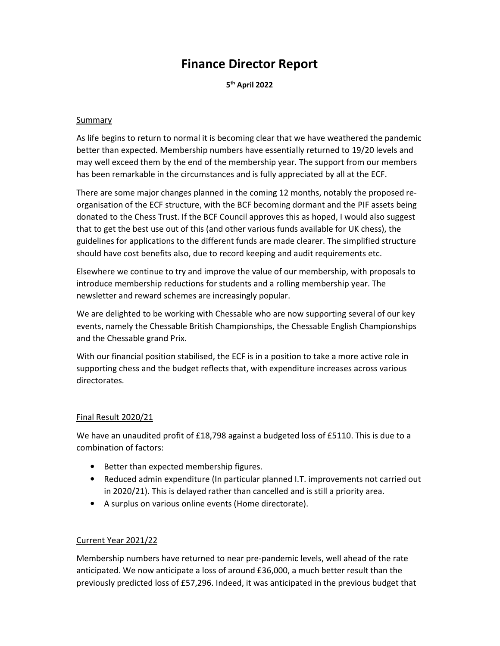# **Finance Director Report**

**5 th April 2022** 

#### Summary

As life begins to return to normal it is becoming clear that we have weathered the pandemic better than expected. Membership numbers have essentially returned to 19/20 levels and may well exceed them by the end of the membership year. The support from our members has been remarkable in the circumstances and is fully appreciated by all at the ECF.

There are some major changes planned in the coming 12 months, notably the proposed reorganisation of the ECF structure, with the BCF becoming dormant and the PIF assets being donated to the Chess Trust. If the BCF Council approves this as hoped, I would also suggest that to get the best use out of this (and other various funds available for UK chess), the guidelines for applications to the different funds are made clearer. The simplified structure should have cost benefits also, due to record keeping and audit requirements etc.

Elsewhere we continue to try and improve the value of our membership, with proposals to introduce membership reductions for students and a rolling membership year. The newsletter and reward schemes are increasingly popular.

We are delighted to be working with Chessable who are now supporting several of our key events, namely the Chessable British Championships, the Chessable English Championships and the Chessable grand Prix.

With our financial position stabilised, the ECF is in a position to take a more active role in supporting chess and the budget reflects that, with expenditure increases across various directorates.

### Final Result 2020/21

We have an unaudited profit of £18,798 against a budgeted loss of £5110. This is due to a combination of factors:

- Better than expected membership figures.
- Reduced admin expenditure (In particular planned I.T. improvements not carried out in 2020/21). This is delayed rather than cancelled and is still a priority area.
- A surplus on various online events (Home directorate).

### Current Year 2021/22

Membership numbers have returned to near pre-pandemic levels, well ahead of the rate anticipated. We now anticipate a loss of around £36,000, a much better result than the previously predicted loss of £57,296. Indeed, it was anticipated in the previous budget that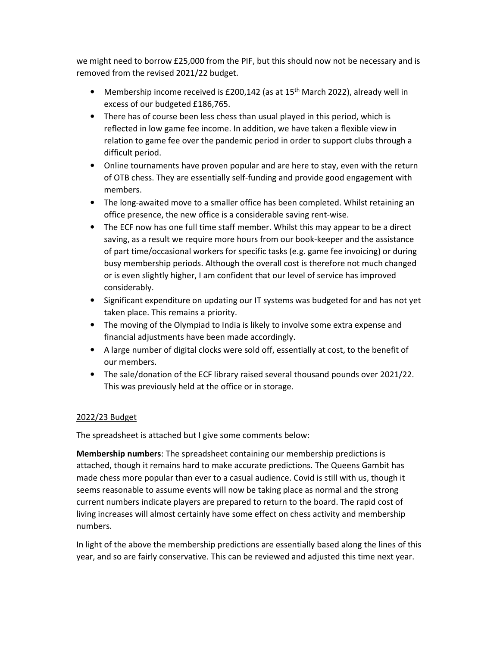we might need to borrow £25,000 from the PIF, but this should now not be necessary and is removed from the revised 2021/22 budget.

- Membership income received is £200,142 (as at  $15<sup>th</sup>$  March 2022), already well in excess of our budgeted £186,765.
- There has of course been less chess than usual played in this period, which is reflected in low game fee income. In addition, we have taken a flexible view in relation to game fee over the pandemic period in order to support clubs through a difficult period.
- Online tournaments have proven popular and are here to stay, even with the return of OTB chess. They are essentially self-funding and provide good engagement with members.
- The long-awaited move to a smaller office has been completed. Whilst retaining an office presence, the new office is a considerable saving rent-wise.
- The ECF now has one full time staff member. Whilst this may appear to be a direct saving, as a result we require more hours from our book-keeper and the assistance of part time/occasional workers for specific tasks (e.g. game fee invoicing) or during busy membership periods. Although the overall cost is therefore not much changed or is even slightly higher, I am confident that our level of service has improved considerably.
- Significant expenditure on updating our IT systems was budgeted for and has not yet taken place. This remains a priority.
- The moving of the Olympiad to India is likely to involve some extra expense and financial adjustments have been made accordingly.
- A large number of digital clocks were sold off, essentially at cost, to the benefit of our members.
- The sale/donation of the ECF library raised several thousand pounds over 2021/22. This was previously held at the office or in storage.

## 2022/23 Budget

The spreadsheet is attached but I give some comments below:

**Membership numbers**: The spreadsheet containing our membership predictions is attached, though it remains hard to make accurate predictions. The Queens Gambit has made chess more popular than ever to a casual audience. Covid is still with us, though it seems reasonable to assume events will now be taking place as normal and the strong current numbers indicate players are prepared to return to the board. The rapid cost of living increases will almost certainly have some effect on chess activity and membership numbers.

In light of the above the membership predictions are essentially based along the lines of this year, and so are fairly conservative. This can be reviewed and adjusted this time next year.